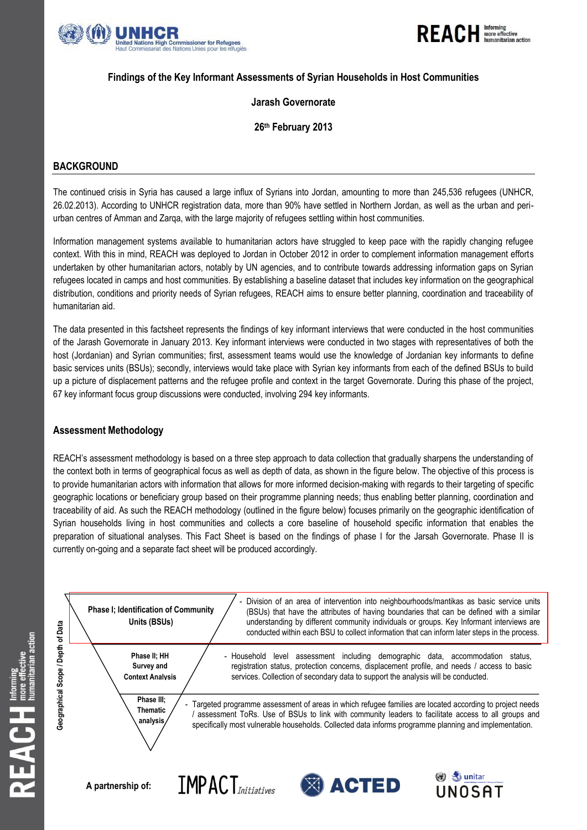



### **Findings of the Key Informant Assessments of Syrian Households in Host Communities**

### **Jarash Governorate**

### **26th February 2013**

### **BACKGROUND**

The continued crisis in Syria has caused a large influx of Syrians into Jordan, amounting to more than 245,536 refugees (UNHCR, 26.02.2013). According to UNHCR registration data, more than 90% have settled in Northern Jordan, as well as the urban and periurban centres of Amman and Zarqa, with the large majority of refugees settling within host communities.

Information management systems available to humanitarian actors have struggled to keep pace with the rapidly changing refugee context. With this in mind, REACH was deployed to Jordan in October 2012 in order to complement information management efforts undertaken by other humanitarian actors, notably by UN agencies, and to contribute towards addressing information gaps on Syrian refugees located in camps and host communities. By establishing a baseline dataset that includes key information on the geographical distribution, conditions and priority needs of Syrian refugees, REACH aims to ensure better planning, coordination and traceability of humanitarian aid.

The data presented in this factsheet represents the findings of key informant interviews that were conducted in the host communities of the Jarash Governorate in January 2013. Key informant interviews were conducted in two stages with representatives of both the host (Jordanian) and Syrian communities; first, assessment teams would use the knowledge of Jordanian key informants to define basic services units (BSUs); secondly, interviews would take place with Syrian key informants from each of the defined BSUs to build up a picture of displacement patterns and the refugee profile and context in the target Governorate. During this phase of the project, 67 key informant focus group discussions were conducted, involving 294 key informants.

### **Assessment Methodology**

REACH's assessment methodology is based on a three step approach to data collection that gradually sharpens the understanding of the context both in terms of geographical focus as well as depth of data, as shown in the figure below. The objective of this process is to provide humanitarian actors with information that allows for more informed decision-making with regards to their targeting of specific geographic locations or beneficiary group based on their programme planning needs; thus enabling better planning, coordination and traceability of aid. As such the REACH methodology (outlined in the figure below) focuses primarily on the geographic identification of Syrian households living in host communities and collects a core baseline of household specific information that enables the preparation of situational analyses. This Fact Sheet is based on the findings of phase I for the Jarsah Governorate. Phase II is currently on-going and a separate fact sheet will be produced accordingly.

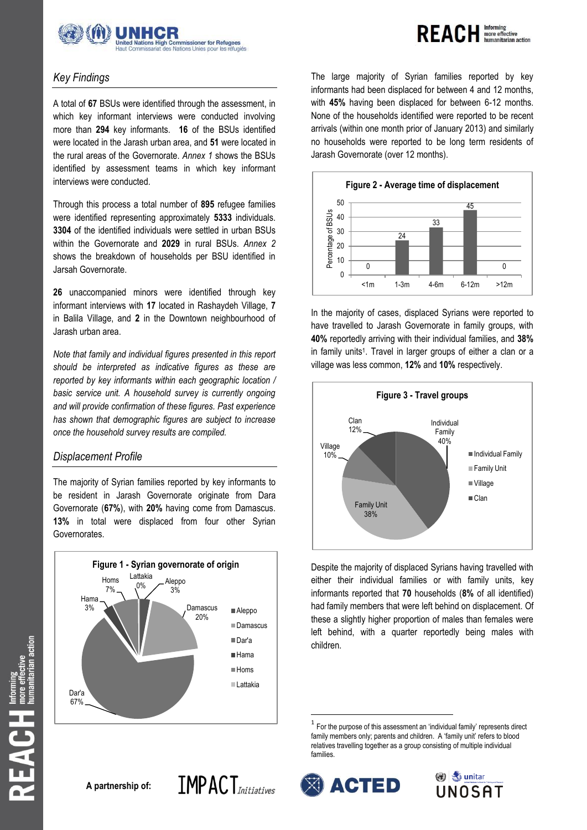



# *Key Findings*

A total of **67** BSUs were identified through the assessment, in which key informant interviews were conducted involving more than **294** key informants. **16** of the BSUs identified were located in the Jarash urban area, and **51** were located in the rural areas of the Governorate. *Annex 1* shows the BSUs identified by assessment teams in which key informant interviews were conducted.

Through this process a total number of **895** refugee families were identified representing approximately **5333** individuals. **3304** of the identified individuals were settled in urban BSUs within the Governorate and **2029** in rural BSUs. *Annex 2* shows the breakdown of households per BSU identified in Jarsah Governorate.

**26** unaccompanied minors were identified through key informant interviews with **17** located in Rashaydeh Village, **7**  in Balila Village, and **2** in the Downtown neighbourhood of Jarash urban area.

*Note that family and individual figures presented in this report should be interpreted as indicative figures as these are reported by key informants within each geographic location /*  basic service unit. A household survey is currently ongoing *and will provide confirmation of these figures. Past experience has shown that demographic figures are subject to increase once the household survey results are compiled.* 

### *Displacement Profile*

The majority of Syrian families reported by key informants to be resident in Jarash Governorate originate from Dara Governorate (**67%**), with **20%** having come from Damascus. **13%** in total were displaced from four other Syrian Governorates.



The large majority of Syrian families reported by key informants had been displaced for between 4 and 12 months, with **45%** having been displaced for between 6-12 months. None of the households identified were reported to be recent arrivals (within one month prior of January 2013) and similarly no households were reported to be long term residents of Jarash Governorate (over 12 months).



In the majority of cases, displaced Syrians were reported to have travelled to Jarash Governorate in family groups, with **40%** reportedly arriving with their individual families, and **38%** in family units<sup>1</sup>. Travel in larger groups of either a clan or a village was less common, **12%** and **10%** respectively.



Despite the majority of displaced Syrians having travelled with either their individual families or with family units, key informants reported that **70** households (**8%** of all identified) had family members that were left behind on displacement. Of these a slightly higher proportion of males than females were left behind, with a quarter reportedly being males with children.

**A partnership of:**



 $\overline{\phantom{a}}$ 

**ACTED** 



 $1$  For the purpose of this assessment an 'individual family' represents direct family members only; parents and children. A 'family unit' refers to blood relatives travelling together as a group consisting of multiple individual families.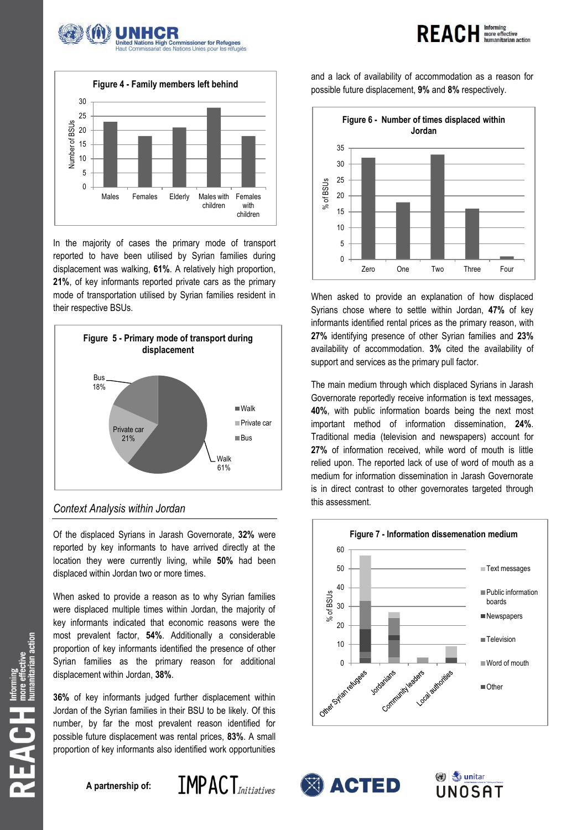





In the majority of cases the primary mode of transport reported to have been utilised by Syrian families during displacement was walking, **61%**. A relatively high proportion, **21%**, of key informants reported private cars as the primary mode of transportation utilised by Syrian families resident in their respective BSUs.



## *Context Analysis within Jordan*

Of the displaced Syrians in Jarash Governorate, **32%** were reported by key informants to have arrived directly at the location they were currently living, while **50%** had been displaced within Jordan two or more times.

When asked to provide a reason as to why Syrian families were displaced multiple times within Jordan, the majority of key informants indicated that economic reasons were the most prevalent factor, **54%**. Additionally a considerable proportion of key informants identified the presence of other Syrian families as the primary reason for additional displacement within Jordan, **38%**.

**36%** of key informants judged further displacement within Jordan of the Syrian families in their BSU to be likely. Of this number, by far the most prevalent reason identified for possible future displacement was rental prices, **83%**. A small proportion of key informants also identified work opportunities

**A partnership of:**



and a lack of availability of accommodation as a reason for possible future displacement, **9%** and **8%** respectively.



When asked to provide an explanation of how displaced Syrians chose where to settle within Jordan, **47%** of key informants identified rental prices as the primary reason, with **27%** identifying presence of other Syrian families and **23%** availability of accommodation. **3%** cited the availability of support and services as the primary pull factor.

The main medium through which displaced Syrians in Jarash Governorate reportedly receive information is text messages, **40%**, with public information boards being the next most important method of information dissemination, **24%**. Traditional media (television and newspapers) account for **27%** of information received, while word of mouth is little relied upon. The reported lack of use of word of mouth as a medium for information dissemination in Jarash Governorate is in direct contrast to other governorates targeted through this assessment.





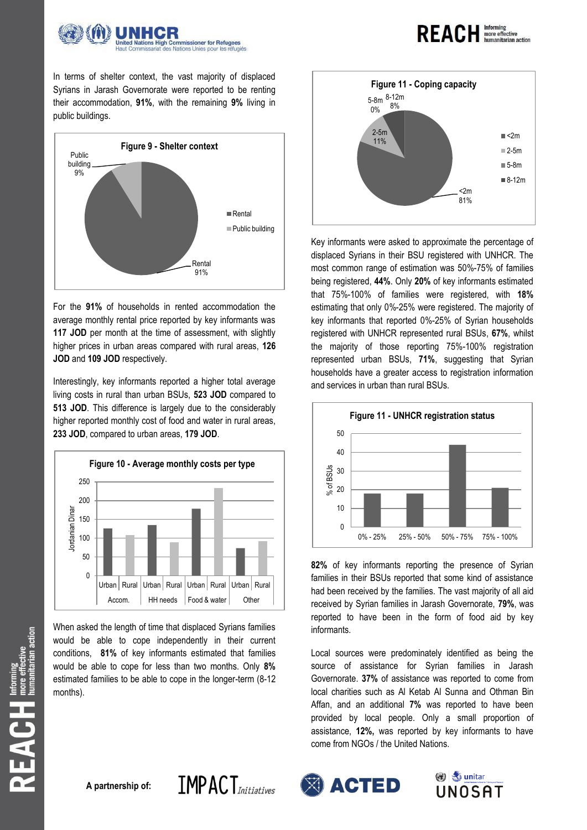

**REACH Informing** 

In terms of shelter context, the vast majority of displaced Syrians in Jarash Governorate were reported to be renting their accommodation, **91%**, with the remaining **9%** living in public buildings.



For the **91%** of households in rented accommodation the average monthly rental price reported by key informants was 117 JOD per month at the time of assessment, with slightly higher prices in urban areas compared with rural areas, **126 JOD** and **109 JOD** respectively.

Interestingly, key informants reported a higher total average living costs in rural than urban BSUs, **523 JOD** compared to **513 JOD**. This difference is largely due to the considerably higher reported monthly cost of food and water in rural areas, **233 JOD**, compared to urban areas, **179 JOD**.



When asked the length of time that displaced Syrians families would be able to cope independently in their current conditions, **81%** of key informants estimated that families would be able to cope for less than two months. Only **8%** estimated families to be able to cope in the longer-term (8-12 months).

**IMPACT**Initiatives



Key informants were asked to approximate the percentage of displaced Syrians in their BSU registered with UNHCR. The most common range of estimation was 50%-75% of families being registered, **44%**. Only **20%** of key informants estimated that 75%-100% of families were registered, with **18%** estimating that only 0%-25% were registered. The majority of key informants that reported 0%-25% of Syrian households registered with UNHCR represented rural BSUs, **67%**, whilst the majority of those reporting 75%-100% registration represented urban BSUs, **71%**, suggesting that Syrian households have a greater access to registration information and services in urban than rural BSUs.



**82%** of key informants reporting the presence of Syrian families in their BSUs reported that some kind of assistance had been received by the families. The vast majority of all aid received by Syrian families in Jarash Governorate, **79%**, was reported to have been in the form of food aid by key informants.

Local sources were predominately identified as being the source of assistance for Syrian families in Jarash Governorate. **37%** of assistance was reported to come from local charities such as Al Ketab Al Sunna and Othman Bin Affan, and an additional **7%** was reported to have been provided by local people. Only a small proportion of assistance, **12%,** was reported by key informants to have come from NGOs / the United Nations.





 $\mathsf{R}\mathsf{E}\mathsf{A}\mathbb{C}\mathsf{H}$  more effective